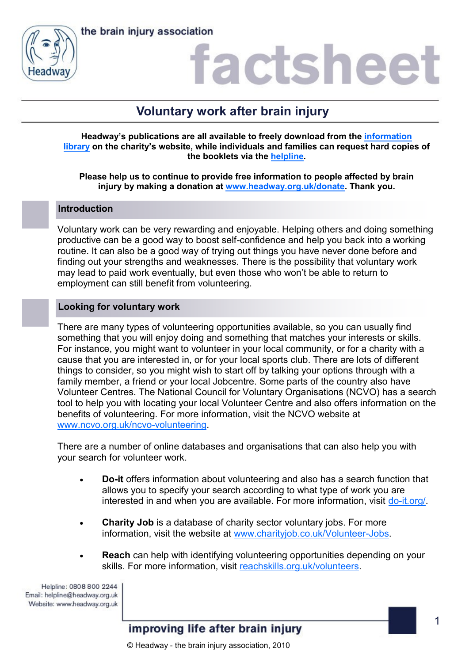

## factshee

### **Voluntary work after brain injury**

**Headway's publications are all available to freely download from the [information](https://www.headway.org.uk/about-brain-injury/individuals/information-library/)  [library](https://www.headway.org.uk/about-brain-injury/individuals/information-library/) on the charity's website, while individuals and families can request hard copies of the booklets via the [helpline.](https://www.headway.org.uk/supporting-you/helpline/)**

**Please help us to continue to provide free information to people affected by brain injury by making a donation at [www.headway.org.uk/donate.](http://www.headway.org.uk/donate) Thank you.**

### **Introduction**

Voluntary work can be very rewarding and enjoyable. Helping others and doing something productive can be a good way to boost self-confidence and help you back into a working routine. It can also be a good way of trying out things you have never done before and finding out your strengths and weaknesses. There is the possibility that voluntary work may lead to paid work eventually, but even those who won't be able to return to employment can still benefit from volunteering.

### **Looking for voluntary work**

There are many types of volunteering opportunities available, so you can usually find something that you will enjoy doing and something that matches your interests or skills. For instance, you might want to volunteer in your local community, or for a charity with a cause that you are interested in, or for your local sports club. There are lots of different things to consider, so you might wish to start off by talking your options through with a family member, a friend or your local Jobcentre. Some parts of the country also have Volunteer Centres. The National Council for Voluntary Organisations (NCVO) has a search tool to help you with locating your local Volunteer Centre and also offers information on the benefits of volunteering. For more information, visit the NCVO website at [www.ncvo.org.uk/ncvo-volunteering.](https://www.ncvo.org.uk/ncvo-volunteering)

There are a number of online databases and organisations that can also help you with your search for volunteer work.

- **Do-it** offers information about volunteering and also has a search function that allows you to specify your search according to what type of work you are interested in and when you are available. For more information, visit [do-it.org/.](https://do-it.org/)
- **Charity Job** is a database of charity sector voluntary jobs. For more information, visit the website at [www.charityjob.co.uk/Volunteer-Jobs.](https://www.charityjob.co.uk/Volunteer-Jobs)
- **Reach** can help with identifying volunteering opportunities depending on your skills. For more information, visit [reachskills.org.uk/volunteers.](https://reachskills.org.uk/volunteers)

Helpline: 0808 800 2244 Email: helpline@headway.org.uk Website: www.headway.org.uk

improving life after brain injury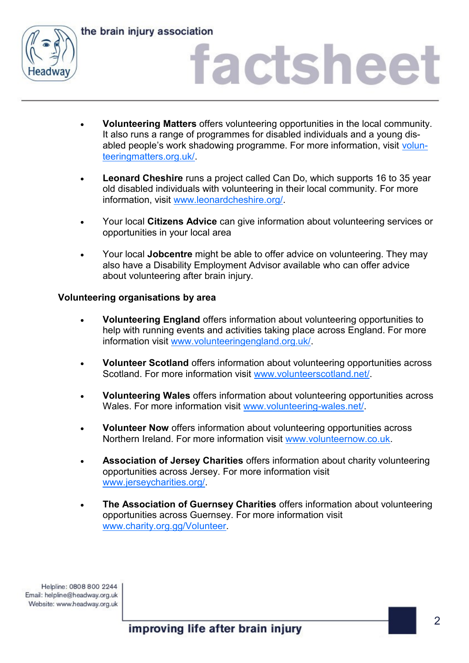

the brain injury association

# actsheet

- **Volunteering Matters** offers volunteering opportunities in the local community. It also runs a range of programmes for disabled individuals and a young disabled people's work shadowing programme. For more information, visit [volun](http://volunteeringmatters.org.uk/)[teeringmatters.org.uk/.](http://volunteeringmatters.org.uk/)
- **Leonard Cheshire** runs a project called Can Do, which supports 16 to 35 year old disabled individuals with volunteering in their local community. For more information, visit [www.leonardcheshire.org/.](https://www.leonardcheshire.org/)
- Your local **Citizens Advice** can give information about volunteering services or opportunities in your local area
- Your local **Jobcentre** might be able to offer advice on volunteering. They may also have a Disability Employment Advisor available who can offer advice about volunteering after brain injury.

### **Volunteering organisations by area**

- **Volunteering England** offers information about volunteering opportunities to help with running events and activities taking place across England. For more information visit [www.volunteeringengland.org.uk/.](http://www.volunteeringengland.org.uk/)
- **Volunteer Scotland** offers information about volunteering opportunities across Scotland. For more information visit [www.volunteerscotland.net/.](http://www.volunteerscotland.net/)
- **Volunteering Wales** offers information about volunteering opportunities across Wales. For more information visit www.volunteering-wales.net/
- **Volunteer Now** offers information about volunteering opportunities across Northern Ireland. For more information visit [www.volunteernow.co.uk.](http://www.volunteernow.co.uk/)
- **Association of Jersey Charities** offers information about charity volunteering opportunities across Jersey. For more information visit [www.jerseycharities.org/.](http://www.jerseycharities.org/table/jobs-paid-or-voluntary-you-ll-find-it-here/voluntary/)
- **The Association of Guernsey Charities** offers information about volunteering opportunities across Guernsey. For more information visit [www.charity.org.gg/Volunteer.](http://www.charity.org.gg/Volunteer)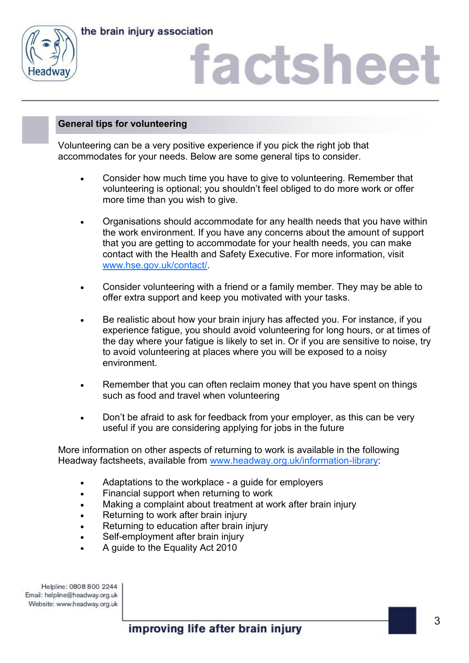



# factshee

### **General tips for volunteering**

Volunteering can be a very positive experience if you pick the right job that accommodates for your needs. Below are some general tips to consider.

- Consider how much time you have to give to volunteering. Remember that volunteering is optional; you shouldn't feel obliged to do more work or offer more time than you wish to give.
- Organisations should accommodate for any health needs that you have within the work environment. If you have any concerns about the amount of support that you are getting to accommodate for your health needs, you can make contact with the Health and Safety Executive. For more information, visit [www.hse.gov.uk/contact/.](http://www.hse.gov.uk/contact/)
- Consider volunteering with a friend or a family member. They may be able to offer extra support and keep you motivated with your tasks.
- Be realistic about how your brain injury has affected you. For instance, if you experience fatigue, you should avoid volunteering for long hours, or at times of the day where your fatigue is likely to set in. Or if you are sensitive to noise, try to avoid volunteering at places where you will be exposed to a noisy environment.
- Remember that you can often reclaim money that you have spent on things such as food and travel when volunteering
- Don't be afraid to ask for feedback from your employer, as this can be very useful if you are considering applying for jobs in the future

More information on other aspects of returning to work is available in the following Headway factsheets, available from [www.headway.org.uk/information-library:](http://www.headway.org.uk/information-library)

- Adaptations to the workplace a guide for employers
- Financial support when returning to work
- Making a complaint about treatment at work after brain injury
- Returning to work after brain injury
- Returning to education after brain injury
- Self-employment after brain injury
- A guide to the Equality Act 2010

Helpline: 0808 800 2244 Email: helpline@headway.org.uk Website: www.headway.org.uk

improving life after brain injury